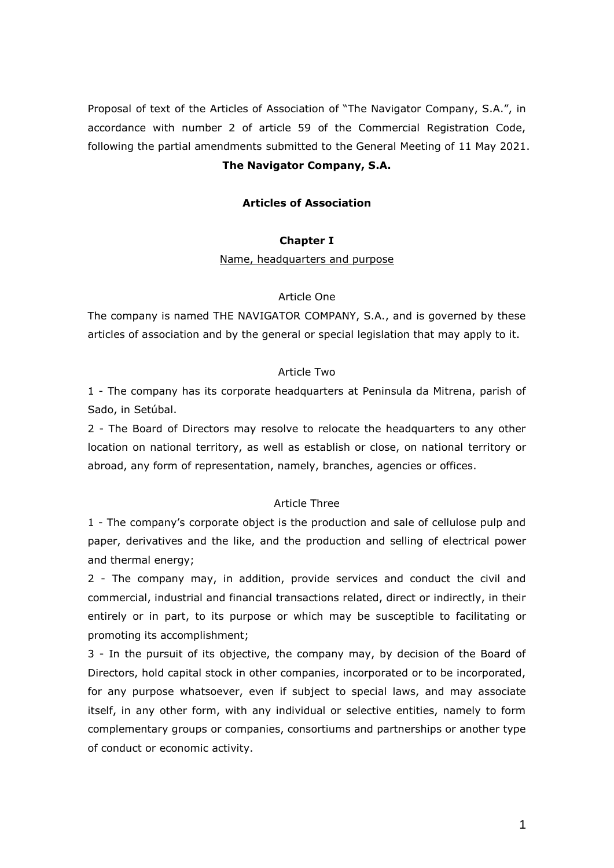Proposal of text of the Articles of Association of "The Navigator Company, S.A.", in accordance with number 2 of article 59 of the Commercial Registration Code, following the partial amendments submitted to the General Meeting of 11 May 2021.

# **The Navigator Company, S.A.**

## **Articles of Association**

### **Chapter I**

Name, headquarters and purpose

### Article One

The company is named THE NAVIGATOR COMPANY, S.A., and is governed by these articles of association and by the general or special legislation that may apply to it.

## Article Two

1 - The company has its corporate headquarters at Peninsula da Mitrena, parish of Sado, in Setúbal.

2 - The Board of Directors may resolve to relocate the headquarters to any other location on national territory, as well as establish or close, on national territory or abroad, any form of representation, namely, branches, agencies or offices.

### Article Three

1 - The company's corporate object is the production and sale of cellulose pulp and paper, derivatives and the like, and the production and selling of electrical power and thermal energy;

2 - The company may, in addition, provide services and conduct the civil and commercial, industrial and financial transactions related, direct or indirectly, in their entirely or in part, to its purpose or which may be susceptible to facilitating or promoting its accomplishment;

3 - In the pursuit of its objective, the company may, by decision of the Board of Directors, hold capital stock in other companies, incorporated or to be incorporated, for any purpose whatsoever, even if subject to special laws, and may associate itself, in any other form, with any individual or selective entities, namely to form complementary groups or companies, consortiums and partnerships or another type of conduct or economic activity.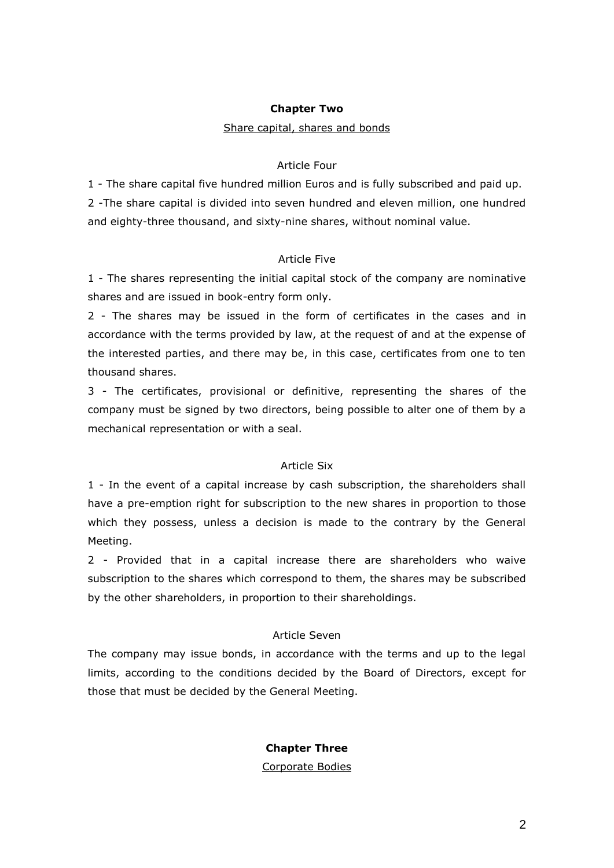## **Chapter Two**

#### Share capital, shares and bonds

## Article Four

1 - The share capital five hundred million Euros and is fully subscribed and paid up. 2 -The share capital is divided into seven hundred and eleven million, one hundred and eighty-three thousand, and sixty-nine shares, without nominal value.

### Article Five

1 - The shares representing the initial capital stock of the company are nominative shares and are issued in book-entry form only.

2 - The shares may be issued in the form of certificates in the cases and in accordance with the terms provided by law, at the request of and at the expense of the interested parties, and there may be, in this case, certificates from one to ten thousand shares.

3 - The certificates, provisional or definitive, representing the shares of the company must be signed by two directors, being possible to alter one of them by a mechanical representation or with a seal.

#### Article Six

1 - In the event of a capital increase by cash subscription, the shareholders shall have a pre-emption right for subscription to the new shares in proportion to those which they possess, unless a decision is made to the contrary by the General Meeting.

2 - Provided that in a capital increase there are shareholders who waive subscription to the shares which correspond to them, the shares may be subscribed by the other shareholders, in proportion to their shareholdings.

## Article Seven

The company may issue bonds, in accordance with the terms and up to the legal limits, according to the conditions decided by the Board of Directors, except for those that must be decided by the General Meeting.

### **Chapter Three**

Corporate Bodies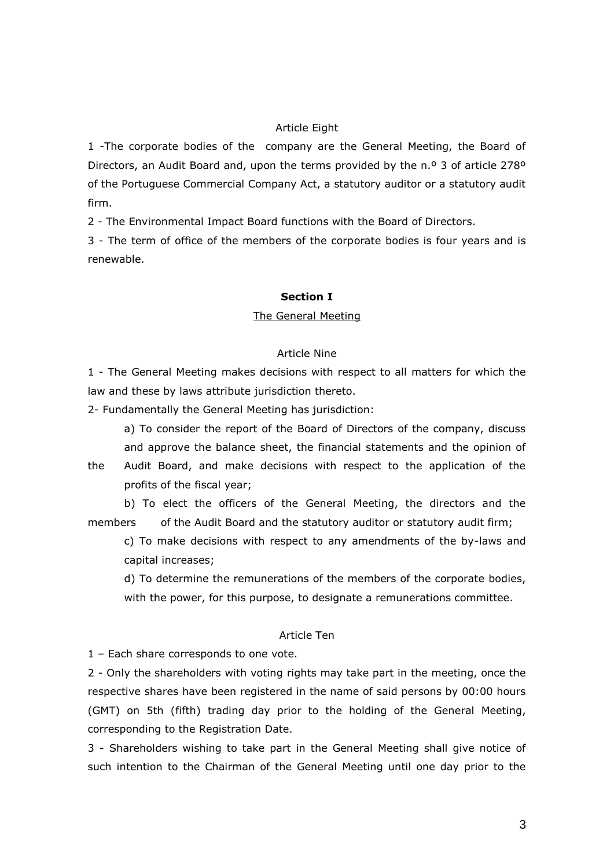## Article Eight

1 -The corporate bodies of the company are the General Meeting, the Board of Directors, an Audit Board and, upon the terms provided by the n.º 3 of article 278° of the Portuguese Commercial Company Act, a statutory auditor or a statutory audit firm.

2 - The Environmental Impact Board functions with the Board of Directors.

3 - The term of office of the members of the corporate bodies is four years and is renewable.

### **Section I**

### The General Meeting

## Article Nine

1 - The General Meeting makes decisions with respect to all matters for which the law and these by laws attribute jurisdiction thereto.

2- Fundamentally the General Meeting has jurisdiction:

a) To consider the report of the Board of Directors of the company, discuss and approve the balance sheet, the financial statements and the opinion of

the Audit Board, and make decisions with respect to the application of the profits of the fiscal year;

b) To elect the officers of the General Meeting, the directors and the members of the Audit Board and the statutory auditor or statutory audit firm;

c) To make decisions with respect to any amendments of the by-laws and capital increases;

d) To determine the remunerations of the members of the corporate bodies, with the power, for this purpose, to designate a remunerations committee.

## Article Ten

1 – Each share corresponds to one vote.

2 - Only the shareholders with voting rights may take part in the meeting, once the respective shares have been registered in the name of said persons by 00:00 hours (GMT) on 5th (fifth) trading day prior to the holding of the General Meeting, corresponding to the Registration Date.

3 - Shareholders wishing to take part in the General Meeting shall give notice of such intention to the Chairman of the General Meeting until one day prior to the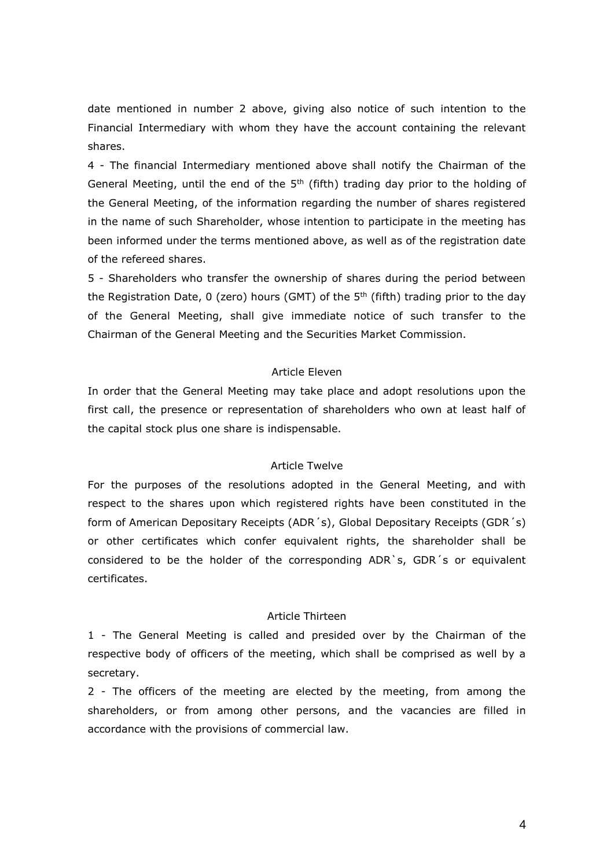date mentioned in number 2 above, giving also notice of such intention to the Financial Intermediary with whom they have the account containing the relevant shares.

4 - The financial Intermediary mentioned above shall notify the Chairman of the General Meeting, until the end of the  $5<sup>th</sup>$  (fifth) trading day prior to the holding of the General Meeting, of the information regarding the number of shares registered in the name of such Shareholder, whose intention to participate in the meeting has been informed under the terms mentioned above, as well as of the registration date of the refereed shares.

5 - Shareholders who transfer the ownership of shares during the period between the Registration Date,  $0$  (zero) hours (GMT) of the  $5<sup>th</sup>$  (fifth) trading prior to the day of the General Meeting, shall give immediate notice of such transfer to the Chairman of the General Meeting and the Securities Market Commission.

### Article Eleven

In order that the General Meeting may take place and adopt resolutions upon the first call, the presence or representation of shareholders who own at least half of the capital stock plus one share is indispensable.

#### Article Twelve

For the purposes of the resolutions adopted in the General Meeting, and with respect to the shares upon which registered rights have been constituted in the form of American Depositary Receipts (ADR´s), Global Depositary Receipts (GDR´s) or other certificates which confer equivalent rights, the shareholder shall be considered to be the holder of the corresponding ADR`s, GDR´s or equivalent certificates.

#### Article Thirteen

1 - The General Meeting is called and presided over by the Chairman of the respective body of officers of the meeting, which shall be comprised as well by a secretary.

2 - The officers of the meeting are elected by the meeting, from among the shareholders, or from among other persons, and the vacancies are filled in accordance with the provisions of commercial law.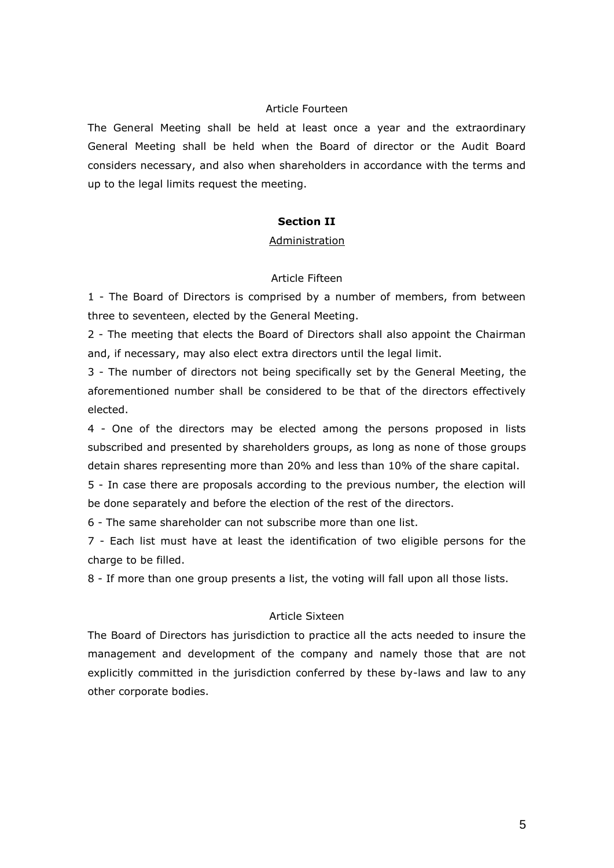## Article Fourteen

The General Meeting shall be held at least once a year and the extraordinary General Meeting shall be held when the Board of director or the Audit Board considers necessary, and also when shareholders in accordance with the terms and up to the legal limits request the meeting.

### **Section II**

#### Administration

## Article Fifteen

1 - The Board of Directors is comprised by a number of members, from between three to seventeen, elected by the General Meeting.

2 - The meeting that elects the Board of Directors shall also appoint the Chairman and, if necessary, may also elect extra directors until the legal limit.

3 - The number of directors not being specifically set by the General Meeting, the aforementioned number shall be considered to be that of the directors effectively elected.

4 - One of the directors may be elected among the persons proposed in lists subscribed and presented by shareholders groups, as long as none of those groups detain shares representing more than 20% and less than 10% of the share capital.

5 - In case there are proposals according to the previous number, the election will be done separately and before the election of the rest of the directors.

6 - The same shareholder can not subscribe more than one list.

7 - Each list must have at least the identification of two eligible persons for the charge to be filled.

8 - If more than one group presents a list, the voting will fall upon all those lists.

#### Article Sixteen

The Board of Directors has jurisdiction to practice all the acts needed to insure the management and development of the company and namely those that are not explicitly committed in the jurisdiction conferred by these by-laws and law to any other corporate bodies.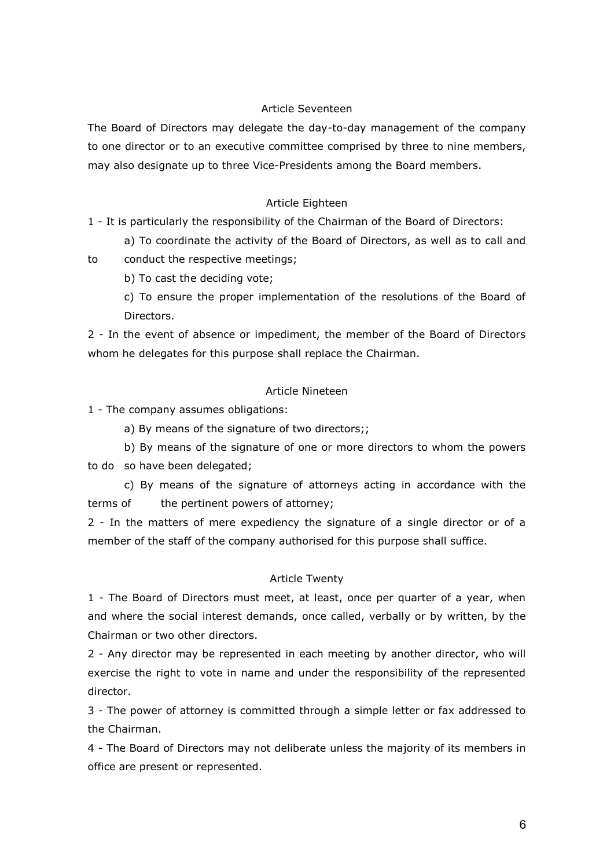## Article Seventeen

The Board of Directors may delegate the day-to-day management of the company to one director or to an executive committee comprised by three to nine members, may also designate up to three Vice-Presidents among the Board members.

### Article Eighteen

1 - It is particularly the responsibility of the Chairman of the Board of Directors:

a) To coordinate the activity of the Board of Directors, as well as to call and

to conduct the respective meetings;

b) To cast the deciding vote;

c) To ensure the proper implementation of the resolutions of the Board of Directors.

2 - In the event of absence or impediment, the member of the Board of Directors whom he delegates for this purpose shall replace the Chairman.

## Article Nineteen

1 - The company assumes obligations:

a) By means of the signature of two directors;;

b) By means of the signature of one or more directors to whom the powers to do so have been delegated;

c) By means of the signature of attorneys acting in accordance with the terms of the pertinent powers of attorney;

2 - In the matters of mere expediency the signature of a single director or of a member of the staff of the company authorised for this purpose shall suffice.

### Article Twenty

1 - The Board of Directors must meet, at least, once per quarter of a year, when and where the social interest demands, once called, verbally or by written, by the Chairman or two other directors.

2 - Any director may be represented in each meeting by another director, who will exercise the right to vote in name and under the responsibility of the represented director.

3 - The power of attorney is committed through a simple letter or fax addressed to the Chairman.

4 - The Board of Directors may not deliberate unless the majority of its members in office are present or represented.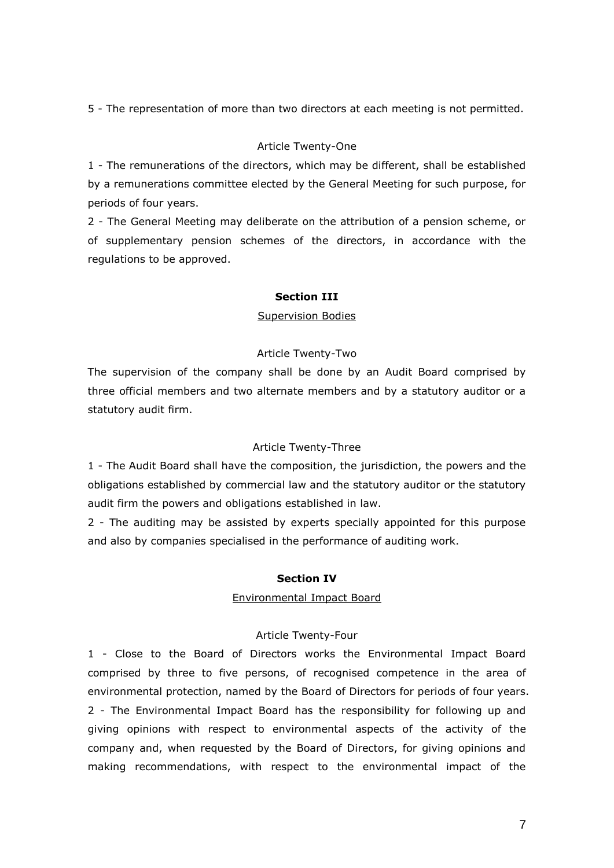5 - The representation of more than two directors at each meeting is not permitted.

## Article Twenty-One

1 - The remunerations of the directors, which may be different, shall be established by a remunerations committee elected by the General Meeting for such purpose, for periods of four years.

2 - The General Meeting may deliberate on the attribution of a pension scheme, or of supplementary pension schemes of the directors, in accordance with the regulations to be approved.

# **Section III**

## Supervision Bodies

# Article Twenty-Two

The supervision of the company shall be done by an Audit Board comprised by three official members and two alternate members and by a statutory auditor or a statutory audit firm.

## Article Twenty-Three

1 - The Audit Board shall have the composition, the jurisdiction, the powers and the obligations established by commercial law and the statutory auditor or the statutory audit firm the powers and obligations established in law.

2 - The auditing may be assisted by experts specially appointed for this purpose and also by companies specialised in the performance of auditing work.

## **Section IV**

## Environmental Impact Board

# Article Twenty-Four

1 - Close to the Board of Directors works the Environmental Impact Board comprised by three to five persons, of recognised competence in the area of environmental protection, named by the Board of Directors for periods of four years. 2 - The Environmental Impact Board has the responsibility for following up and giving opinions with respect to environmental aspects of the activity of the company and, when requested by the Board of Directors, for giving opinions and making recommendations, with respect to the environmental impact of the